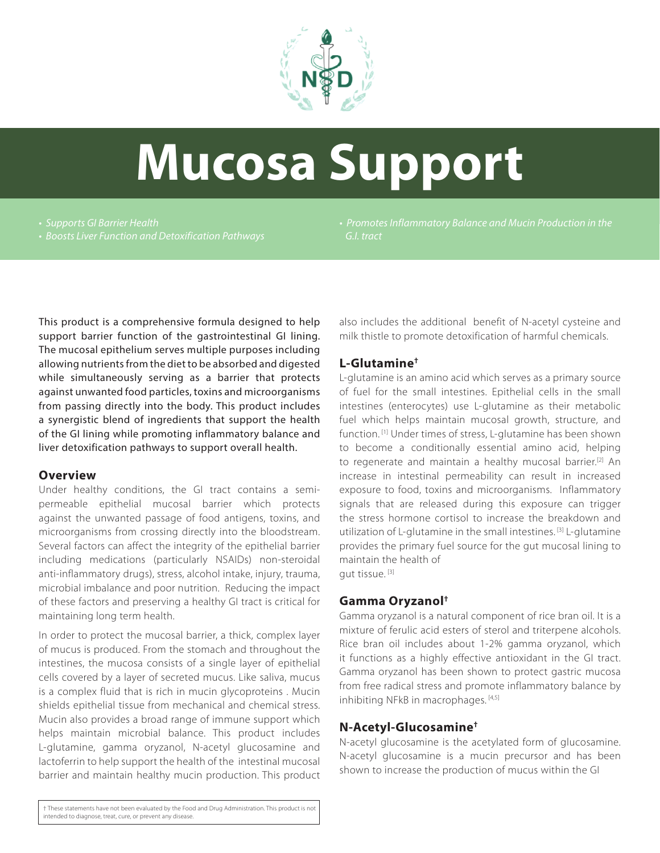

# **Mucosa Support**

*• Supports GI Barrier Health • Boosts Liver Function and Detoxification Pathways*  *G.I. tract*

This product is a comprehensive formula designed to help support barrier function of the gastrointestinal GI lining. The mucosal epithelium serves multiple purposes including allowing nutrients from the diet to be absorbed and digested while simultaneously serving as a barrier that protects against unwanted food particles, toxins and microorganisms from passing directly into the body. This product includes a synergistic blend of ingredients that support the health of the GI lining while promoting inflammatory balance and liver detoxification pathways to support overall health.

#### **Overview**

Under healthy conditions, the GI tract contains a semipermeable epithelial mucosal barrier which protects against the unwanted passage of food antigens, toxins, and microorganisms from crossing directly into the bloodstream. Several factors can affect the integrity of the epithelial barrier including medications (particularly NSAIDs) non-steroidal anti-inflammatory drugs), stress, alcohol intake, injury, trauma, microbial imbalance and poor nutrition. Reducing the impact of these factors and preserving a healthy GI tract is critical for maintaining long term health.

In order to protect the mucosal barrier, a thick, complex layer of mucus is produced. From the stomach and throughout the intestines, the mucosa consists of a single layer of epithelial cells covered by a layer of secreted mucus. Like saliva, mucus is a complex fluid that is rich in mucin glycoproteins . Mucin shields epithelial tissue from mechanical and chemical stress. Mucin also provides a broad range of immune support which helps maintain microbial balance. This product includes L-glutamine, gamma oryzanol, N-acetyl glucosamine and lactoferrin to help support the health of the intestinal mucosal barrier and maintain healthy mucin production. This product

also includes the additional benefit of N-acetyl cysteine and milk thistle to promote detoxification of harmful chemicals.

# **L-Glutamine†**

L-glutamine is an amino acid which serves as a primary source of fuel for the small intestines. Epithelial cells in the small intestines (enterocytes) use L-glutamine as their metabolic fuel which helps maintain mucosal growth, structure, and function.<sup>[1]</sup> Under times of stress, L-glutamine has been shown to become a conditionally essential amino acid, helping to regenerate and maintain a healthy mucosal barrier.[2] An increase in intestinal permeability can result in increased exposure to food, toxins and microorganisms. Inflammatory signals that are released during this exposure can trigger the stress hormone cortisol to increase the breakdown and utilization of L-glutamine in the small intestines. [3] L-glutamine provides the primary fuel source for the gut mucosal lining to maintain the health of gut tissue. [3]

# **Gamma Oryzanol†**

Gamma oryzanol is a natural component of rice bran oil. It is a mixture of ferulic acid esters of sterol and triterpene alcohols. Rice bran oil includes about 1-2% gamma oryzanol, which it functions as a highly effective antioxidant in the GI tract. Gamma oryzanol has been shown to protect gastric mucosa from free radical stress and promote inflammatory balance by inhibiting NFkB in macrophages. [4,5]

# **N-Acetyl-Glucosamine†**

N-acetyl glucosamine is the acetylated form of glucosamine. N-acetyl glucosamine is a mucin precursor and has been shown to increase the production of mucus within the GI

† These statements have not been evaluated by the Food and Drug Administration. This product is not intended to diagnose, treat, cure, or prevent any disease.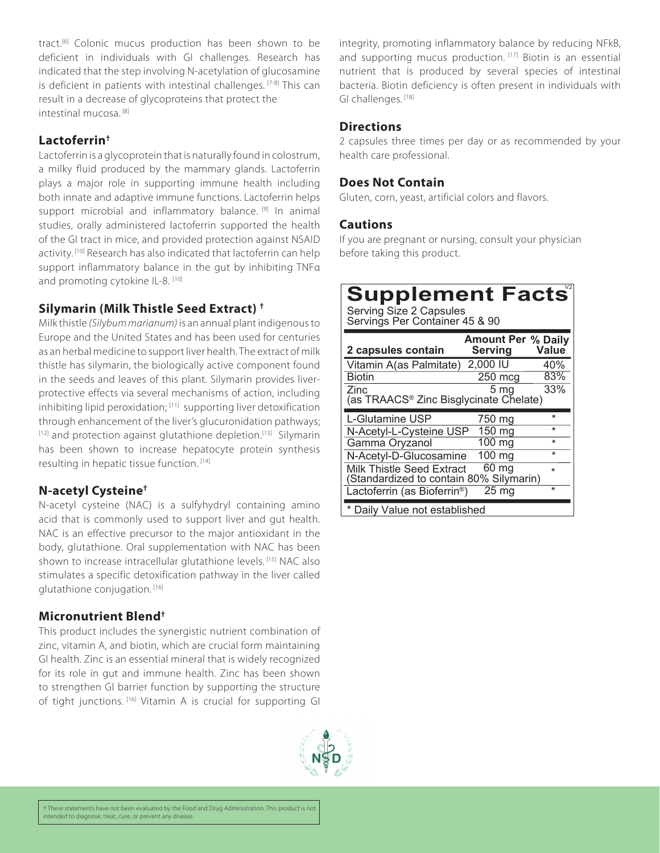tract.[6] Colonic mucus production has been shown to be deficient in individuals with GI challenges. Research has indicated that the step involving N-acetylation of glucosamine is deficient in patients with intestinal challenges. [7-8] This can result in a decrease of glycoproteins that protect the intestinal mucosa. [8]

# **Lactoferrin†**

Lactoferrin is a glycoprotein that is naturally found in colostrum, a milky fluid produced by the mammary glands. Lactoferrin plays a major role in supporting immune health including both innate and adaptive immune functions. Lactoferrin helps support microbial and inflammatory balance. [9] In animal studies, orally administered lactoferrin supported the health of the GI tract in mice, and provided protection against NSAID activity.<sup>[10]</sup> Research has also indicated that lactoferrin can help support inflammatory balance in the gut by inhibiting TNFα and promoting cytokine IL-8. [10]

# **Silymarin (Milk Thistle Seed Extract) †**

Milk thistle *(Silybum marianum)* is an annual plant indigenous to Europe and the United States and has been used for centuries as an herbal medicine to support liver health. The extract of milk thistle has silymarin, the biologically active component found in the seeds and leaves of this plant. Silymarin provides liverprotective effects via several mechanisms of action, including inhibiting lipid peroxidation; [11] supporting liver detoxification through enhancement of the liver's glucuronidation pathways; [12] and protection against glutathione depletion.<sup>[13]</sup> Silymarin has been shown to increase hepatocyte protein synthesis resulting in hepatic tissue function. [14]

# **N-acetyl Cysteine†**

N-acetyl cysteine (NAC) is a sulfyhydryl containing amino acid that is commonly used to support liver and gut health. NAC is an effective precursor to the major antioxidant in the body, glutathione. Oral supplementation with NAC has been shown to increase intracellular glutathione levels. [15] NAC also stimulates a specific detoxification pathway in the liver called glutathione conjugation. [16]

# **Micronutrient Blend†**

This product includes the synergistic nutrient combination of zinc, vitamin A, and biotin, which are crucial form maintaining GI health. Zinc is an essential mineral that is widely recognized for its role in gut and immune health. Zinc has been shown to strengthen GI barrier function by supporting the structure of tight junctions. [16] Vitamin A is crucial for supporting GI



integrity, promoting inflammatory balance by reducing NFkB, and supporting mucus production. [17] Biotin is an essential nutrient that is produced by several species of intestinal bacteria. Biotin deficiency is often present in individuals with GI challenges. [18]

# **Directions**

2 capsules three times per day or as recommended by your health care professional.

#### **Does Not Contain**

Gluten, corn, yeast, artificial colors and flavors.

# **Cautions**

If you are pregnant or nursing, consult your physician before taking this product.

# **Supplement Facts**

Serving Size 2 Capsules Servings Per Container 45 & 90

| 2 capsules contain                                                   | Amount Per % Daily<br><b>Serving</b> | Value   |
|----------------------------------------------------------------------|--------------------------------------|---------|
| Vitamin A(as Palmitate)                                              | 2,000 IU                             | 40%     |
| <b>Biotin</b>                                                        | 250 mcg                              | 83%     |
| Zinc<br>(as TRAACS <sup>®</sup> Zinc Bisglycinate Chelate)           | 5 ma                                 | 33%     |
| L-Glutamine USP                                                      | 750 ma                               | $\star$ |
| N-Acetyl-L-Cysteine USP                                              | $\overline{150}$ mg                  | $\star$ |
| Gamma Oryzanol                                                       | 100 ma                               | $\star$ |
| N-Acetyl-D-Glucosamine                                               | $100 \text{ mg}$                     | $\star$ |
| Milk Thistle Seed Extract<br>(Standardized to contain 80% Silymarin) | 60 mg                                | $\star$ |
| Lactoferrin (as Bioferrin <sup>®</sup> )                             | 25 <sub>mg</sub>                     | $\star$ |
| * Daily Value not established                                        |                                      |         |

† These statements have not been evaluated by the Food and Drug Administration. This product is not intended to diagnose, treat, cure, or prevent any disease.